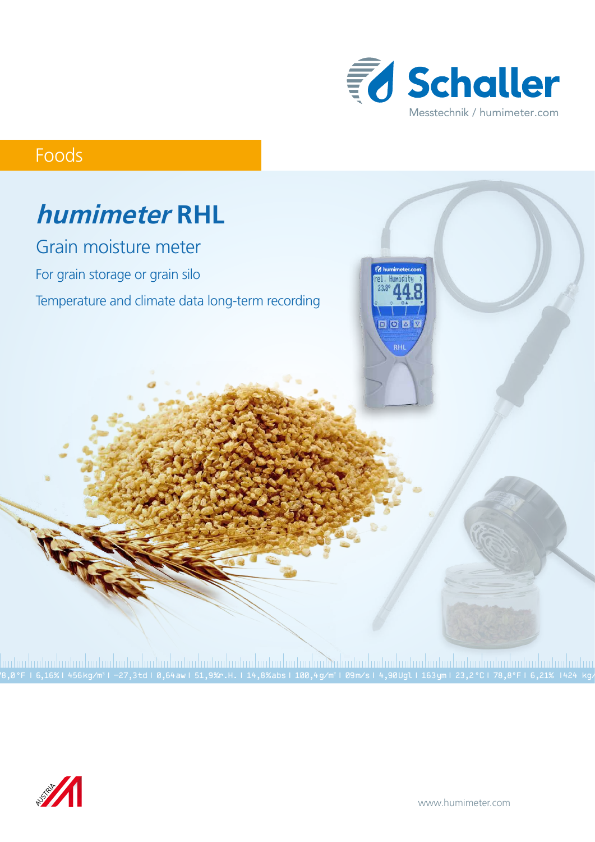

# Foods



78,0 °F | 6,16%| 456 kg/m3 | -27,3 td| 0,64 aw| 51,9 %r.H.| 14,8 % abs| 100,4 g/m2 | 09 m/s| 4,90 Ugl| 163 ym| 23,2 °C| 78,8°F| 6,21% |424 kg/m